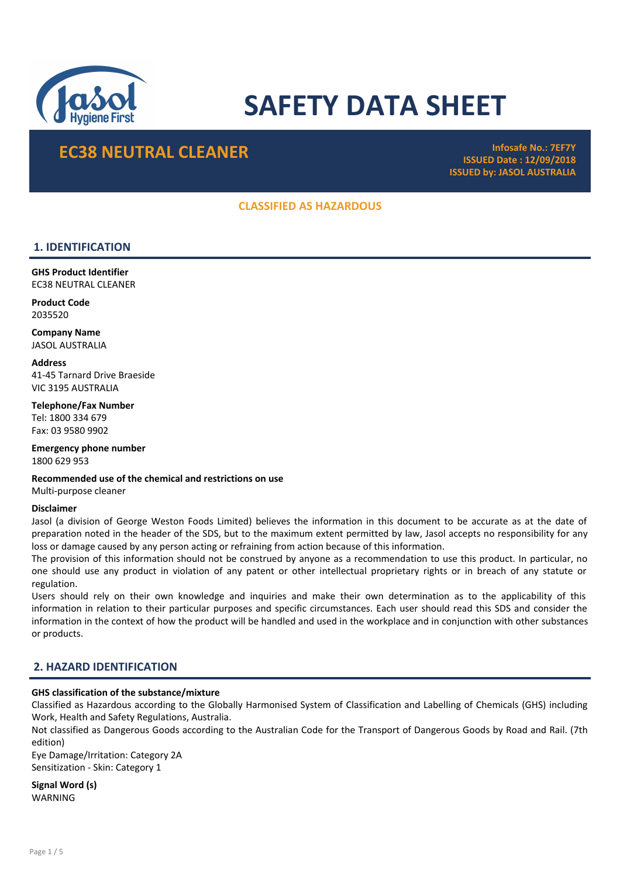

# SAFETY DATA SHEET

## EC38 NEUTRAL CLEANER Infosafe No.: 7EF7Y

ISSUED Date : 12/09/2018 ISSUED by: JASOL AUSTRALIA

## CLASSIFIED AS HAZARDOUS

## 1. IDENTIFICATION

GHS Product Identifier EC38 NEUTRAL CLEANER

Product Code 2035520

Company Name JASOL AUSTRALIA

**Address** 

41-45 Tarnard Drive Braeside VIC 3195 AUSTRALIA

Telephone/Fax Number Tel: 1800 334 679 Fax: 03 9580 9902

Emergency phone number 1800 629 953

Recommended use of the chemical and restrictions on use Multi-purpose cleaner

#### Disclaimer

Jasol (a division of George Weston Foods Limited) believes the information in this document to be accurate as at the date of preparation noted in the header of the SDS, but to the maximum extent permitted by law, Jasol accepts no responsibility for any loss or damage caused by any person acting or refraining from action because of this information.

The provision of this information should not be construed by anyone as a recommendation to use this product. In particular, no one should use any product in violation of any patent or other intellectual proprietary rights or in breach of any statute or regulation.

Users should rely on their own knowledge and inquiries and make their own determination as to the applicability of this information in relation to their particular purposes and specific circumstances. Each user should read this SDS and consider the information in the context of how the product will be handled and used in the workplace and in conjunction with other substances or products.

## 2. HAZARD IDENTIFICATION

## GHS classification of the substance/mixture

Classified as Hazardous according to the Globally Harmonised System of Classification and Labelling of Chemicals (GHS) including Work, Health and Safety Regulations, Australia.

Not classified as Dangerous Goods according to the Australian Code for the Transport of Dangerous Goods by Road and Rail. (7th edition)

Eye Damage/Irritation: Category 2A Sensitization - Skin: Category 1

Signal Word (s) WARNING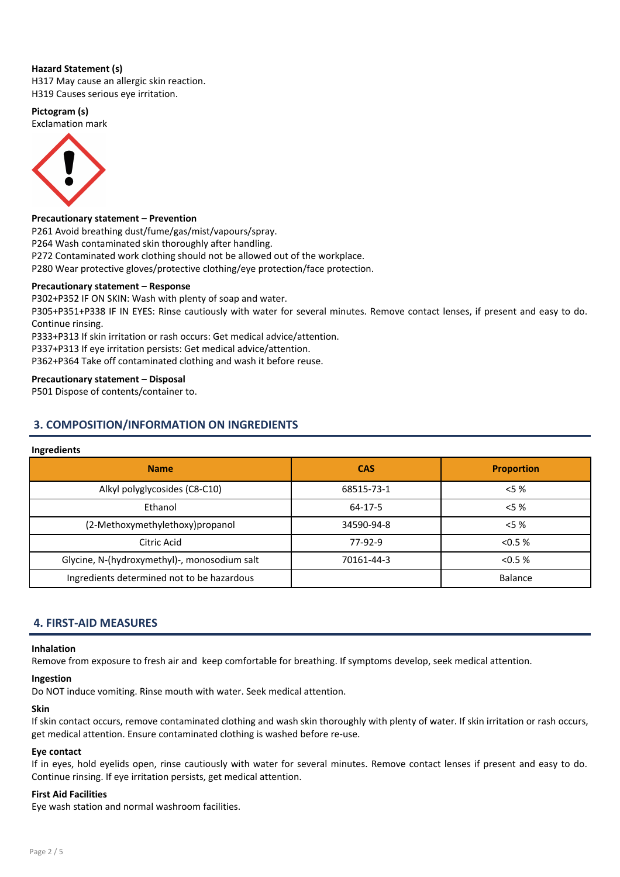#### Hazard Statement (s)

H317 May cause an allergic skin reaction. H319 Causes serious eye irritation.

## Pictogram (s)

Exclamation mark



#### Precautionary statement – Prevention

P261 Avoid breathing dust/fume/gas/mist/vapours/spray.

P264 Wash contaminated skin thoroughly after handling.

P272 Contaminated work clothing should not be allowed out of the workplace.

P280 Wear protective gloves/protective clothing/eye protection/face protection.

#### Precautionary statement – Response

P302+P352 IF ON SKIN: Wash with plenty of soap and water. P305+P351+P338 IF IN EYES: Rinse cautiously with water for several minutes. Remove contact lenses, if present and easy to do. Continue rinsing.

P333+P313 If skin irritation or rash occurs: Get medical advice/attention.

P337+P313 If eye irritation persists: Get medical advice/attention.

P362+P364 Take off contaminated clothing and wash it before reuse.

#### Precautionary statement – Disposal

P501 Dispose of contents/container to.

## 3. COMPOSITION/INFORMATION ON INGREDIENTS

#### Ingredients

| <b>Name</b>                                  | <b>CAS</b> | <b>Proportion</b> |
|----------------------------------------------|------------|-------------------|
| Alkyl polyglycosides (C8-C10)                | 68515-73-1 | $< 5 \%$          |
| Ethanol                                      | 64-17-5    | $< 5 \%$          |
| (2-Methoxymethylethoxy)propanol              | 34590-94-8 | $< 5 \%$          |
| Citric Acid                                  | 77-92-9    | < 0.5 %           |
| Glycine, N-(hydroxymethyl)-, monosodium salt | 70161-44-3 | < 0.5 %           |
| Ingredients determined not to be hazardous   |            | <b>Balance</b>    |

## 4. FIRST-AID MEASURES

#### Inhalation

Remove from exposure to fresh air and keep comfortable for breathing. If symptoms develop, seek medical attention.

#### Ingestion

Do NOT induce vomiting. Rinse mouth with water. Seek medical attention.

#### Skin

If skin contact occurs, remove contaminated clothing and wash skin thoroughly with plenty of water. If skin irritation or rash occurs, get medical attention. Ensure contaminated clothing is washed before re-use.

#### Eye contact

If in eyes, hold eyelids open, rinse cautiously with water for several minutes. Remove contact lenses if present and easy to do. Continue rinsing. If eye irritation persists, get medical attention.

#### First Aid Facilities

Eye wash station and normal washroom facilities.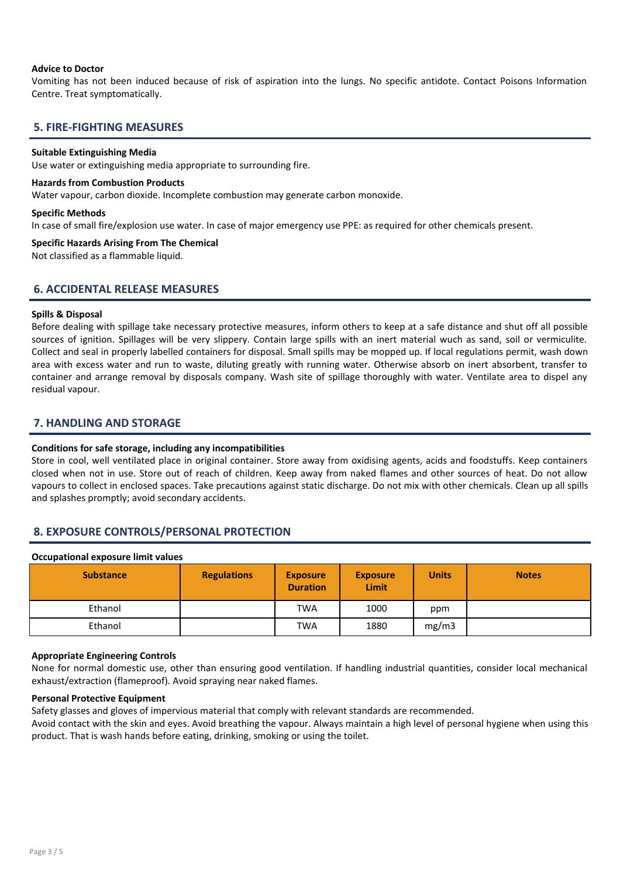#### Advice to Doctor

Vomiting has not been induced because of risk of aspiration into the lungs. No specific antidote. Contact Poisons Information Centre. Treat symptomatically.

## 5. FIRE-FIGHTING MEASURES

#### Suitable Extinguishing Media

Use water or extinguishing media appropriate to surrounding fire.

#### Hazards from Combustion Products

Water vapour, carbon dioxide. Incomplete combustion may generate carbon monoxide.

#### Specific Methods

In case of small fire/explosion use water. In case of major emergency use PPE: as required for other chemicals present.

#### Specific Hazards Arising From The Chemical

Not classified as a flammable liquid.

## 6. ACCIDENTAL RELEASE MEASURES

#### Spills & Disposal

Before dealing with spillage take necessary protective measures, inform others to keep at a safe distance and shut off all possible sources of ignition. Spillages will be very slippery. Contain large spills with an inert material wuch as sand, soil or vermiculite. Collect and seal in properly labelled containers for disposal. Small spills may be mopped up. If local regulations permit, wash down area with excess water and run to waste, diluting greatly with running water. Otherwise absorb on inert absorbent, transfer to container and arrange removal by disposals company. Wash site of spillage thoroughly with water. Ventilate area to dispel any residual vapour.

## 7. HANDLING AND STORAGE

#### Conditions for safe storage, including any incompatibilities

Store in cool, well ventilated place in original container. Store away from oxidising agents, acids and foodstuffs. Keep containers closed when not in use. Store out of reach of children. Keep away from naked flames and other sources of heat. Do not allow vapours to collect in enclosed spaces. Take precautions against static discharge. Do not mix with other chemicals. Clean up all spills and splashes promptly; avoid secondary accidents.

## 8. EXPOSURE CONTROLS/PERSONAL PROTECTION

#### Occupational exposure limit values

| <b>Substance</b> | <b>Regulations</b> | <b>Exposure</b><br><b>Duration</b> | <b>Exposure</b><br>Limit | <b>Units</b> | <b>Notes</b> |
|------------------|--------------------|------------------------------------|--------------------------|--------------|--------------|
| Ethanol          |                    | <b>TWA</b>                         | 1000                     | ppm          |              |
| Ethanol          |                    | <b>TWA</b>                         | 1880                     | mg/m3        |              |

#### Appropriate Engineering Controls

None for normal domestic use, other than ensuring good ventilation. If handling industrial quantities, consider local mechanical exhaust/extraction (flameproof). Avoid spraying near naked flames.

#### Personal Protective Equipment

Safety glasses and gloves of impervious material that comply with relevant standards are recommended.

Avoid contact with the skin and eyes. Avoid breathing the vapour. Always maintain a high level of personal hygiene when using this product. That is wash hands before eating, drinking, smoking or using the toilet.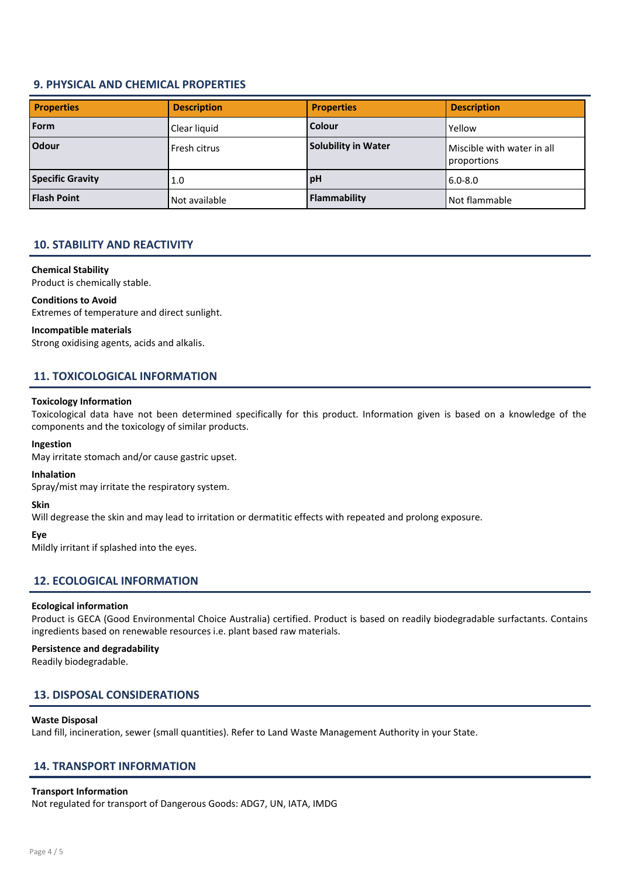## 9. PHYSICAL AND CHEMICAL PROPERTIES

| <b>Properties</b>       | <b>Description</b> | <b>Properties</b>          | <b>Description</b>                        |
|-------------------------|--------------------|----------------------------|-------------------------------------------|
| Form                    | Clear liquid       | <b>Colour</b>              | Yellow                                    |
| <b>Odour</b>            | Fresh citrus       | <b>Solubility in Water</b> | Miscible with water in all<br>proportions |
| <b>Specific Gravity</b> | 1.0                | pH                         | $6.0 - 8.0$                               |
| <b>Flash Point</b>      | Not available      | <b>Flammability</b>        | Not flammable                             |

## 10. STABILITY AND REACTIVITY

#### Chemical Stability

Product is chemically stable.

#### Conditions to Avoid

Extremes of temperature and direct sunlight.

#### Incompatible materials

Strong oxidising agents, acids and alkalis.

## 11. TOXICOLOGICAL INFORMATION

#### Toxicology Information

Toxicological data have not been determined specifically for this product. Information given is based on a knowledge of the components and the toxicology of similar products.

#### Ingestion

May irritate stomach and/or cause gastric upset.

#### Inhalation

Spray/mist may irritate the respiratory system.

#### Skin

Will degrease the skin and may lead to irritation or dermatitic effects with repeated and prolong exposure.

#### Eye

Mildly irritant if splashed into the eyes.

## 12. ECOLOGICAL INFORMATION

#### Ecological information

Product is GECA (Good Environmental Choice Australia) certified. Product is based on readily biodegradable surfactants. Contains ingredients based on renewable resources i.e. plant based raw materials.

#### Persistence and degradability

Readily biodegradable.

## 13. DISPOSAL CONSIDERATIONS

#### Waste Disposal

Land fill, incineration, sewer (small quantities). Refer to Land Waste Management Authority in your State.

#### 14. TRANSPORT INFORMATION

#### Transport Information

Not regulated for transport of Dangerous Goods: ADG7, UN, IATA, IMDG